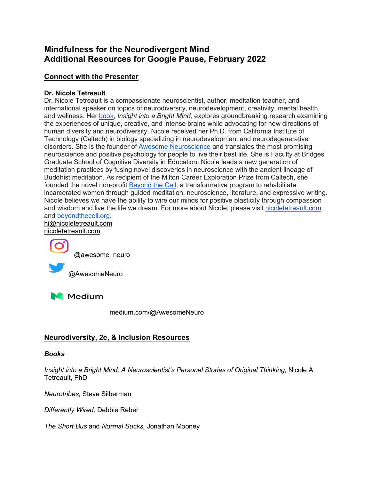# **Mindfulness for the Neurodivergent Mind Additional Resources for Google Pause, February 2022**

## **Connect with the Presenter**

#### **Dr. Nicole Tetreault**

Dr. Nicole Tetreault is a compassionate neuroscientist, author, meditation teacher, and international speaker on topics of neurodiversity, neurodevelopment, creativity, mental health, and wellness. Her book, *Insight into a Bright Mind,* explores groundbreaking research examining the experiences of unique, creative, and intense brains while advocating for new directions of human diversity and neurodiversity. Nicole received her Ph.D. from California Institute of Technology (Caltech) in biology specializing in neurodevelopment and neurodegenerative disorders. She is the founder of Awesome Neuroscience and translates the most promising neuroscience and positive psychology for people to live their best life. She is Faculty at Bridges Graduate School of Cognitive Diversity in Education. Nicole leads a new generation of meditation practices by fusing novel discoveries in neuroscience with the ancient lineage of Buddhist meditation. As recipient of the Milton Career Exploration Prize from Caltech, she founded the novel non-profit Beyond the Cell, a transformative program to rehabilitate incarcerated women through guided meditation, neuroscience, literature, and expressive writing. Nicole believes we have the ability to wire our minds for positive plasticity through compassion and wisdom and live the life we dream. For more about Nicole, please visit nicoletetreault.com and beyondthecell.org.

hi@nicoletetreault.com nicoletetreault.com



@awesome\_neuro

@AwesomeNeuro



medium.com/@AwesomeNeuro

## **Neurodiversity, 2e, & Inclusion Resources**

#### *Books*

*Insight into a Bright Mind: A Neuroscientist's Personal Stories of Original Thinking*, Nicole A. Tetreault, PhD

*Neurotribes,* Steve Silberman

*Differently Wired,* Debbie Reber

*The Short Bus* and *Normal Sucks,* Jonathan Mooney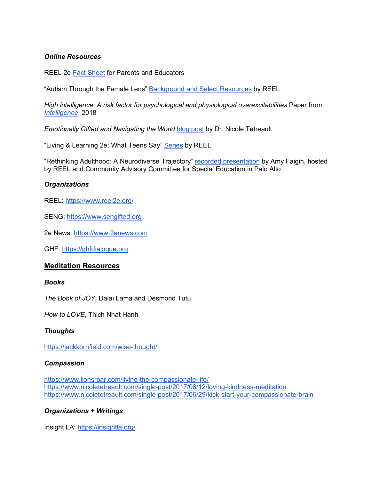#### *Online Resources*

REEL 2e Fact Sheet for Parents and Educators

"Autism Through the Female Lens" Background and Select Resources by REEL

*High intelligence: A risk factor for psychological and physiological overexcitabilities Paper from Intelligence*, 2018

*Emotionally Gifted and Navigating the World blog post by Dr. Nicole Tetreault* 

"Living & Learning 2e: What Teens Say" Series by REEL

"Rethinking Adulthood: A Neurodiverse Trajectory" recorded presentation by Amy Faigin, hosted by REEL and Community Advisory Committee for Special Education in Palo Alto

#### *Organizations*

REEL: https://www.reel2e.org/

SENG: https://www.sengifted.org

2e News: https://www.2enews.com

GHF: https://ghfdialogue.org

#### **Meditation Resources**

#### *Books*

*The Book of JOY,* Dalai Lama and Desmond Tutu

*How to LOVE*, Thich Nhat Hanh

#### *Thoughts*

https://jackkornfield.com/wise-thought/

#### *Compassion*

https://www.lionsroar.com/living-the-compassionate-life/ https://www.nicoletetreault.com/single-post/2017/08/12/loving-kindness-meditation https://www.nicoletetreault.com/single-post/2017/06/29/kick-start-your-compassionate-brain

#### *Organizations + Writings*

Insight LA: https://insightla.org/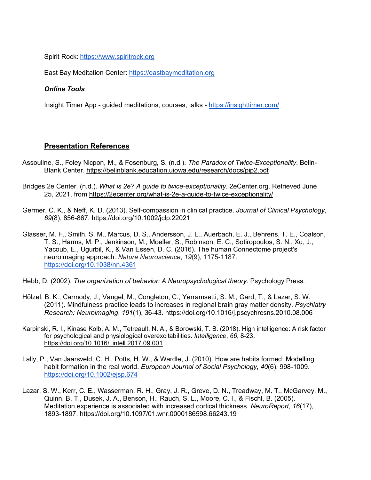Spirit Rock: https://www.spiritrock.org

East Bay Meditation Center: https://eastbaymeditation.org

#### *Online Tools*

Insight Timer App - guided meditations, courses, talks - https://insighttimer.com/

### **Presentation References**

- Assouline, S., Foley Nicpon, M., & Fosenburg, S. (n.d.). *The Paradox of Twice-Exceptionality*. Belin-Blank Center. https://belinblank.education.uiowa.edu/research/docs/pip2.pdf
- Bridges 2e Center. (n.d.). *What is 2e? A guide to twice-exceptionality*. 2eCenter.org. Retrieved June 25, 2021, from https://2ecenter.org/what-is-2e-a-guide-to-twice-exceptionality/
- Germer, C. K., & Neff, K. D. (2013). Self-compassion in clinical practice. *Journal of Clinical Psychology*, *69*(8), 856-867. https://doi.org/10.1002/jclp.22021
- Glasser, M. F., Smith, S. M., Marcus, D. S., Andersson, J. L., Auerbach, E. J., Behrens, T. E., Coalson, T. S., Harms, M. P., Jenkinson, M., Moeller, S., Robinson, E. C., Sotiropoulos, S. N., Xu, J., Yacoub, E., Ugurbil, K., & Van Essen, D. C. (2016). The human Connectome project's neuroimaging approach. *Nature Neuroscience*, *19*(9), 1175-1187. https://doi.org/10.1038/nn.4361
- Hebb, D. (2002). *The organization of behavior: A Neuropsychological theory*. Psychology Press.
- Hölzel, B. K., Carmody, J., Vangel, M., Congleton, C., Yerramsetti, S. M., Gard, T., & Lazar, S. W. (2011). Mindfulness practice leads to increases in regional brain gray matter density. *Psychiatry Research: Neuroimaging*, *191*(1), 36-43. https://doi.org/10.1016/j.pscychresns.2010.08.006
- Karpinski, R. I., Kinase Kolb, A. M., Tetreault, N. A., & Borowski, T. B. (2018). High intelligence: A risk factor for psychological and physiological overexcitabilities. *Intelligence*, *66*, 8-23. https://doi.org/10.1016/j.intell.2017.09.001
- Lally, P., Van Jaarsveld, C. H., Potts, H. W., & Wardle, J. (2010). How are habits formed: Modelling habit formation in the real world. *European Journal of Social Psychology*, *40*(6), 998-1009. https://doi.org/10.1002/ejsp.674
- Lazar, S. W., Kerr, C. E., Wasserman, R. H., Gray, J. R., Greve, D. N., Treadway, M. T., McGarvey, M., Quinn, B. T., Dusek, J. A., Benson, H., Rauch, S. L., Moore, C. I., & Fischl, B. (2005). Meditation experience is associated with increased cortical thickness. *NeuroReport*, *16*(17), 1893-1897. https://doi.org/10.1097/01.wnr.0000186598.66243.19